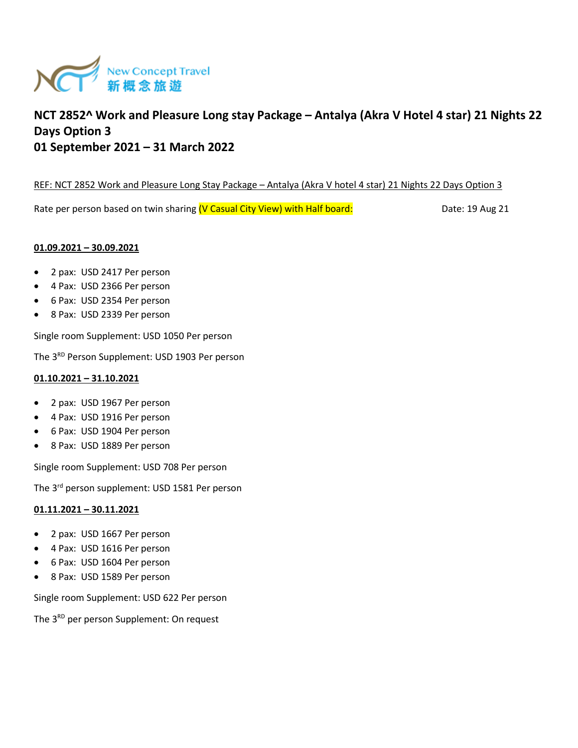

# **NCT 2852^ Work and Pleasure Long stay Package – Antalya (Akra V Hotel 4 star) 21 Nights 22 Days Option 3 01 September 2021 – 31 March 2022**

### REF: NCT 2852 Work and Pleasure Long Stay Package – Antalya (Akra V hotel 4 star) 21 Nights 22 Days Option 3

Rate per person based on twin sharing (V Casual City View) with Half board: Date: 19 Aug 21

#### **01.09.2021 – 30.09.2021**

- 2 pax: USD 2417 Per person
- 4 Pax: USD 2366 Per person
- 6 Pax: USD 2354 Per person
- 8 Pax: USD 2339 Per person

Single room Supplement: USD 1050 Per person

The 3<sup>RD</sup> Person Supplement: USD 1903 Per person

### **01.10.2021 – 31.10.2021**

- 2 pax: USD 1967 Per person
- 4 Pax: USD 1916 Per person
- 6 Pax: USD 1904 Per person
- 8 Pax: USD 1889 Per person

Single room Supplement: USD 708 Per person

The 3rd person supplement: USD 1581 Per person

#### **01.11.2021 – 30.11.2021**

- 2 pax: USD 1667 Per person
- 4 Pax: USD 1616 Per person
- 6 Pax: USD 1604 Per person
- 8 Pax: USD 1589 Per person

Single room Supplement: USD 622 Per person

The 3<sup>RD</sup> per person Supplement: On request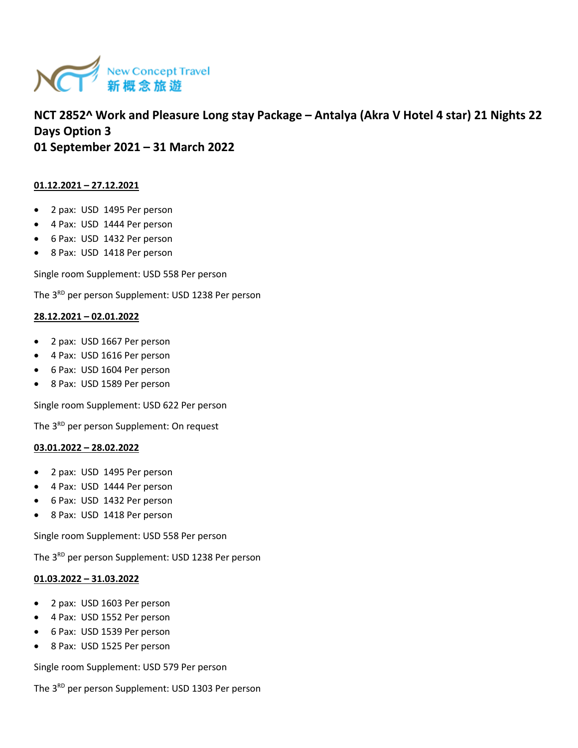

## **NCT 2852^ Work and Pleasure Long stay Package – Antalya (Akra V Hotel 4 star) 21 Nights 22 Days Option 3 01 September 2021 – 31 March 2022**

### **01.12.2021 – 27.12.2021**

- 2 pax: USD 1495 Per person
- 4 Pax: USD 1444 Per person
- 6 Pax: USD 1432 Per person
- 8 Pax: USD 1418 Per person

Single room Supplement: USD 558 Per person

The 3<sup>RD</sup> per person Supplement: USD 1238 Per person

## **28.12.2021 – 02.01.2022**

- 2 pax: USD 1667 Per person
- 4 Pax: USD 1616 Per person
- 6 Pax: USD 1604 Per person
- 8 Pax: USD 1589 Per person

Single room Supplement: USD 622 Per person

The 3<sup>RD</sup> per person Supplement: On request

#### **03.01.2022 – 28.02.2022**

- 2 pax: USD 1495 Per person
- 4 Pax: USD 1444 Per person
- 6 Pax: USD 1432 Per person
- 8 Pax: USD 1418 Per person

Single room Supplement: USD 558 Per person

The 3<sup>RD</sup> per person Supplement: USD 1238 Per person

#### **01.03.2022 – 31.03.2022**

- 2 pax: USD 1603 Per person
- 4 Pax: USD 1552 Per person
- 6 Pax: USD 1539 Per person
- 8 Pax: USD 1525 Per person

Single room Supplement: USD 579 Per person

The 3<sup>RD</sup> per person Supplement: USD 1303 Per person